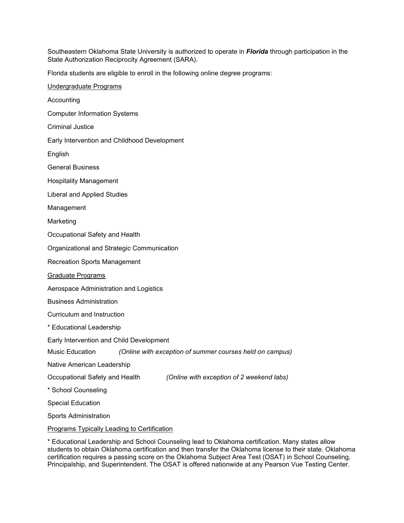Southeastern Oklahoma State University is authorized to operate in *Florida* through participation in the State Authorization Reciprocity Agreement (SARA).

Florida students are eligible to enroll in the following online degree programs:

| Undergraduate Programs                                                      |
|-----------------------------------------------------------------------------|
| Accounting                                                                  |
| <b>Computer Information Systems</b>                                         |
| <b>Criminal Justice</b>                                                     |
| Early Intervention and Childhood Development                                |
| English                                                                     |
| <b>General Business</b>                                                     |
| <b>Hospitality Management</b>                                               |
| <b>Liberal and Applied Studies</b>                                          |
| Management                                                                  |
| Marketing                                                                   |
| Occupational Safety and Health                                              |
| Organizational and Strategic Communication                                  |
| <b>Recreation Sports Management</b>                                         |
| Graduate Programs                                                           |
| Aerospace Administration and Logistics                                      |
| <b>Business Administration</b>                                              |
| Curriculum and Instruction                                                  |
| * Educational Leadership                                                    |
| Early Intervention and Child Development                                    |
| Music Education<br>(Online with exception of summer courses held on campus) |
| Native American Leadership                                                  |
| Occupational Safety and Health<br>(Online with exception of 2 weekend labs) |
| * School Counseling                                                         |
| <b>Special Education</b>                                                    |
| <b>Sports Administration</b>                                                |
| <b>Programs Typically Leading to Certification</b>                          |

\* Educational Leadership and School Counseling lead to Oklahoma certification. Many states allow students to obtain Oklahoma certification and then transfer the Oklahoma license to their state. Oklahoma certification requires a passing score on the Oklahoma Subject Area Test (OSAT) in School Counseling, Principalship, and Superintendent. The OSAT is offered nationwide at any Pearson Vue Testing Center.